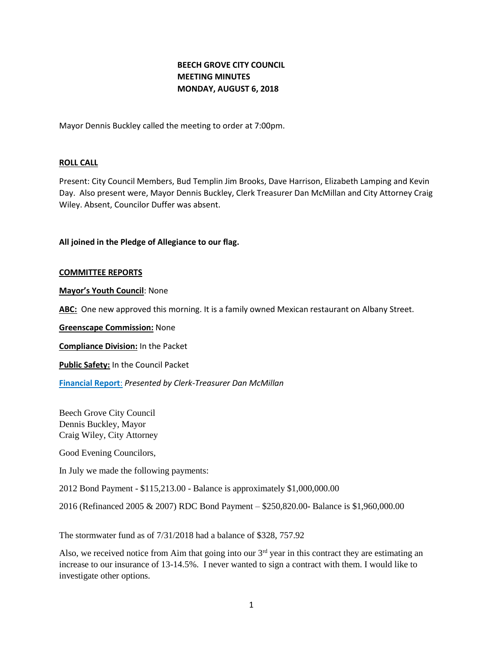# **BEECH GROVE CITY COUNCIL MEETING MINUTES MONDAY, AUGUST 6, 2018**

Mayor Dennis Buckley called the meeting to order at 7:00pm.

### **ROLL CALL**

Present: City Council Members, Bud Templin Jim Brooks, Dave Harrison, Elizabeth Lamping and Kevin Day. Also present were, Mayor Dennis Buckley, Clerk Treasurer Dan McMillan and City Attorney Craig Wiley. Absent, Councilor Duffer was absent.

### **All joined in the Pledge of Allegiance to our flag.**

#### **COMMITTEE REPORTS**

**Mayor's Youth Council**: None

**ABC:** One new approved this morning. It is a family owned Mexican restaurant on Albany Street.

**Greenscape Commission:** None

**Compliance Division:** In the Packet

**Public Safety:** In the Council Packet

**[Financial Report](http://www.beechgrove.com/uploads/1/0/1/2/10129925/5.1.2018_financial_report.pdf)**: *Presented by Clerk-Treasurer Dan McMillan*

Beech Grove City Council Dennis Buckley, Mayor Craig Wiley, City Attorney

Good Evening Councilors,

In July we made the following payments:

2012 Bond Payment - \$115,213.00 - Balance is approximately \$1,000,000.00

2016 (Refinanced 2005 & 2007) RDC Bond Payment – \$250,820.00- Balance is \$1,960,000.00

The stormwater fund as of 7/31/2018 had a balance of \$328, 757.92

Also, we received notice from Aim that going into our  $3<sup>rd</sup>$  year in this contract they are estimating an increase to our insurance of 13-14.5%. I never wanted to sign a contract with them. I would like to investigate other options.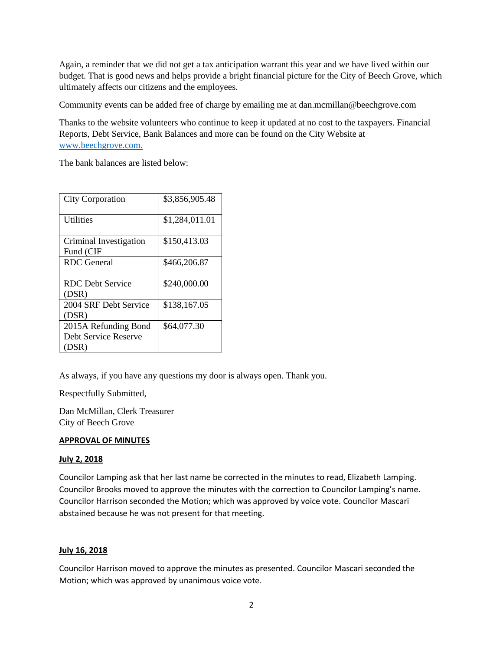Again, a reminder that we did not get a tax anticipation warrant this year and we have lived within our budget. That is good news and helps provide a bright financial picture for the City of Beech Grove, which ultimately affects our citizens and the employees.

Community events can be added free of charge by emailing me at dan.mcmillan@beechgrove.com

Thanks to the website volunteers who continue to keep it updated at no cost to the taxpayers. Financial Reports, Debt Service, Bank Balances and more can be found on the City Website at [www.beechgrove.com.](file:///C:/Users/dan/Documents/www.beechgrove.com)

The bank balances are listed below:

| <b>City Corporation</b>                               | \$3,856,905.48 |
|-------------------------------------------------------|----------------|
| <b>Utilities</b>                                      | \$1,284,011.01 |
| Criminal Investigation<br>Fund (CIF                   | \$150,413.03   |
| <b>RDC</b> General                                    | \$466,206.87   |
| <b>RDC</b> Debt Service<br>(DSR)                      | \$240,000.00   |
| 2004 SRF Debt Service<br>(DSR)                        | \$138,167.05   |
| 2015A Refunding Bond<br>Debt Service Reserve<br>(DSR) | \$64,077.30    |

As always, if you have any questions my door is always open. Thank you.

Respectfully Submitted,

Dan McMillan, Clerk Treasurer City of Beech Grove

# **APPROVAL OF MINUTES**

# **July 2, 2018**

Councilor Lamping ask that her last name be corrected in the minutes to read, Elizabeth Lamping. Councilor Brooks moved to approve the minutes with the correction to Councilor Lamping's name. Councilor Harrison seconded the Motion; which was approved by voice vote. Councilor Mascari abstained because he was not present for that meeting.

# **July 16, 2018**

Councilor Harrison moved to approve the minutes as presented. Councilor Mascari seconded the Motion; which was approved by unanimous voice vote.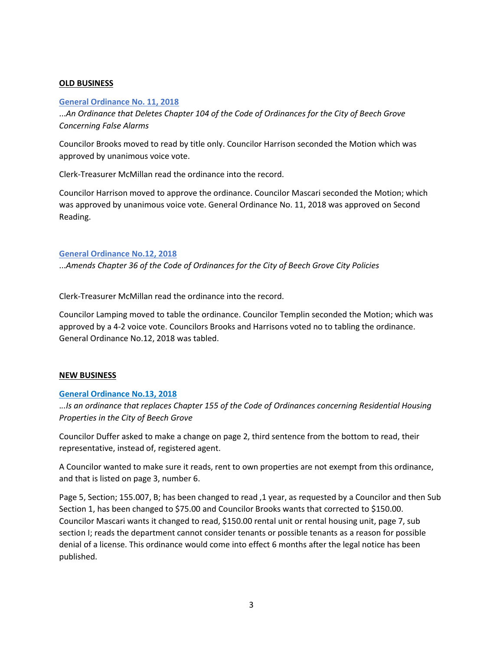# **OLD BUSINESS**

### **[General Ordinance No. 11, 2018](http://www.beechgrove.com/uploads/1/0/1/2/10129925/general_ordinance_no.112018.pdf)**

...*An Ordinance that Deletes Chapter 104 of the Code of Ordinances for the City of Beech Grove Concerning False Alarms*

Councilor Brooks moved to read by title only. Councilor Harrison seconded the Motion which was approved by unanimous voice vote.

Clerk-Treasurer McMillan read the ordinance into the record.

Councilor Harrison moved to approve the ordinance. Councilor Mascari seconded the Motion; which was approved by unanimous voice vote. General Ordinance No. 11, 2018 was approved on Second Reading.

### **[General Ordinance No.12, 2018](http://www.beechgrove.com/uploads/1/0/1/2/10129925/general_ordinance_12_2018.pdf)**

...*Amends Chapter 36 of the Code of Ordinances for the City of Beech Grove City Policies*

Clerk-Treasurer McMillan read the ordinance into the record.

Councilor Lamping moved to table the ordinance. Councilor Templin seconded the Motion; which was approved by a 4-2 voice vote. Councilors Brooks and Harrisons voted no to tabling the ordinance. General Ordinance No.12, 2018 was tabled.

#### **NEW BUSINESS**

#### **[General Ordinance No.13, 2018](http://www.beechgrove.com/uploads/1/0/1/2/10129925/general_ordinance_13_2018.pdf)**

.*..Is an ordinance that replaces Chapter 155 of the Code of Ordinances concerning Residential Housing Properties in the City of Beech Grove*

Councilor Duffer asked to make a change on page 2, third sentence from the bottom to read, their representative, instead of, registered agent.

A Councilor wanted to make sure it reads, rent to own properties are not exempt from this ordinance, and that is listed on page 3, number 6.

Page 5, Section; 155.007, B; has been changed to read ,1 year, as requested by a Councilor and then Sub Section 1, has been changed to \$75.00 and Councilor Brooks wants that corrected to \$150.00. Councilor Mascari wants it changed to read, \$150.00 rental unit or rental housing unit, page 7, sub section I; reads the department cannot consider tenants or possible tenants as a reason for possible denial of a license. This ordinance would come into effect 6 months after the legal notice has been published.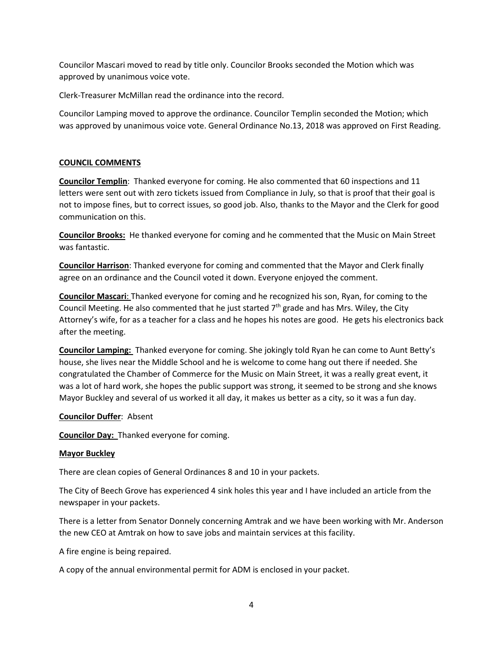Councilor Mascari moved to read by title only. Councilor Brooks seconded the Motion which was approved by unanimous voice vote.

Clerk-Treasurer McMillan read the ordinance into the record.

Councilor Lamping moved to approve the ordinance. Councilor Templin seconded the Motion; which was approved by unanimous voice vote. General Ordinance No.13, 2018 was approved on First Reading.

# **COUNCIL COMMENTS**

**Councilor Templin**: Thanked everyone for coming. He also commented that 60 inspections and 11 letters were sent out with zero tickets issued from Compliance in July, so that is proof that their goal is not to impose fines, but to correct issues, so good job. Also, thanks to the Mayor and the Clerk for good communication on this.

**Councilor Brooks:** He thanked everyone for coming and he commented that the Music on Main Street was fantastic.

**Councilor Harrison**: Thanked everyone for coming and commented that the Mayor and Clerk finally agree on an ordinance and the Council voted it down. Everyone enjoyed the comment.

**Councilor Mascari**: Thanked everyone for coming and he recognized his son, Ryan, for coming to the Council Meeting. He also commented that he just started  $7<sup>th</sup>$  grade and has Mrs. Wiley, the City Attorney's wife, for as a teacher for a class and he hopes his notes are good. He gets his electronics back after the meeting.

**Councilor Lamping:** Thanked everyone for coming. She jokingly told Ryan he can come to Aunt Betty's house, she lives near the Middle School and he is welcome to come hang out there if needed. She congratulated the Chamber of Commerce for the Music on Main Street, it was a really great event, it was a lot of hard work, she hopes the public support was strong, it seemed to be strong and she knows Mayor Buckley and several of us worked it all day, it makes us better as a city, so it was a fun day.

# **Councilor Duffer**: Absent

**Councilor Day:** Thanked everyone for coming.

# **Mayor Buckley**

There are clean copies of General Ordinances 8 and 10 in your packets.

The City of Beech Grove has experienced 4 sink holes this year and I have included an article from the newspaper in your packets.

There is a letter from Senator Donnely concerning Amtrak and we have been working with Mr. Anderson the new CEO at Amtrak on how to save jobs and maintain services at this facility.

A fire engine is being repaired.

A copy of the annual environmental permit for ADM is enclosed in your packet.